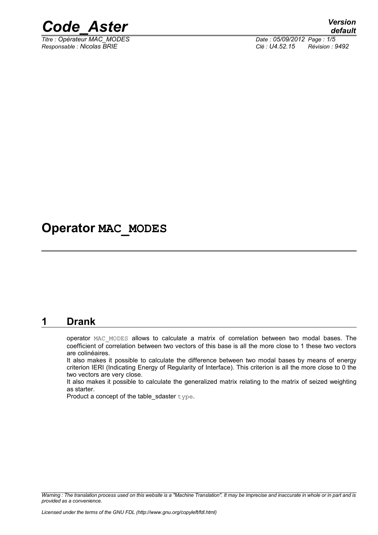

*Titre : Opérateur MAC\_MODES Date : 05/09/2012 Page : 1/5*

*Responsable : Nicolas BRIE Clé : U4.52.15 Révision : 9492*

## **Operator MAC\_MODES**

#### **1 Drank**

operator MAC\_MODES allows to calculate a matrix of correlation between two modal bases. The coefficient of correlation between two vectors of this base is all the more close to 1 these two vectors are colinéaires.

It also makes it possible to calculate the difference between two modal bases by means of energy criterion IERI (Indicating Energy of Regularity of Interface). This criterion is all the more close to 0 the two vectors are very close.

It also makes it possible to calculate the generalized matrix relating to the matrix of seized weighting as starter.

Product a concept of the table sdaster type.

*Warning : The translation process used on this website is a "Machine Translation". It may be imprecise and inaccurate in whole or in part and is provided as a convenience.*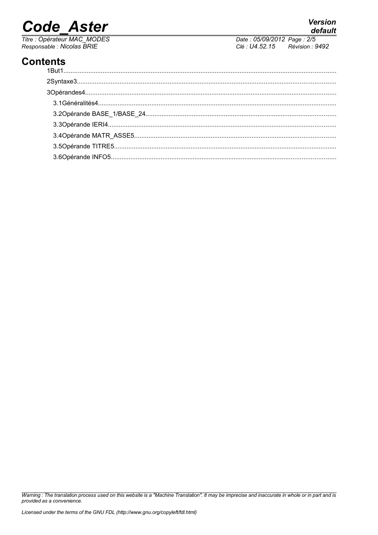# **Code Aster**

Titre : Opérateur MAC\_MODES<br>Responsable : Nicolas BRIE

default Date: 05/09/2012 Page: 2/5 Clé : U4.52.15  $Révision : 9492$ 

**Version** 

### **Contents**

Warning : The translation process used on this website is a "Machine Translation". It may be imprecise and inaccurate in whole or in part and is provided as a convenience.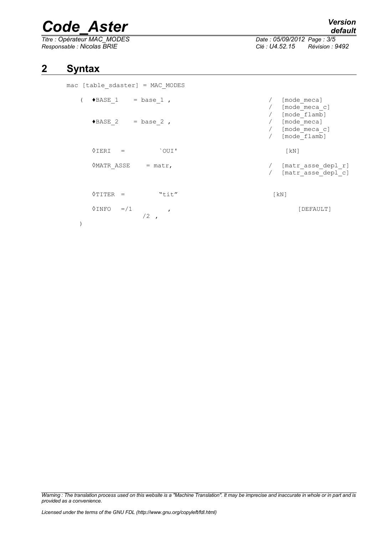# *Code\_Aster Version*

*Titre : Opérateur MAC\_MODES Date : 05/09/2012 Page : 3/5 Responsable : Nicolas BRIE Clé : U4.52.15 Révision : 9492*

#### **2 Syntax**

| mac [table sdaster] = MAC MODES               |                                                                    |
|-----------------------------------------------|--------------------------------------------------------------------|
| $\bullet$ BASE 1 = base 1,                    | [mode meca]<br>[mode meca c]                                       |
| $\triangle$ BASE 2 = base 2,                  | [mode flamb]<br>/ [mode meca]<br>/ [mode meca c]<br>/ [mode flamb] |
| $\Diamond$ IERI =<br>`OUI'                    | $\lceil kN \rceil$                                                 |
| <b>OMATR ASSE</b><br>$=$ matr,                | [matr asse depl r]<br>[matr asse depl c]                           |
| $\Diamond$ TITER =<br>"tit"                   | $\lceil kN \rceil$                                                 |
| $\Diamond$ INFO =/1<br>$\mathbf{r}$<br>$/2$ , | [DEFAULT]                                                          |
|                                               |                                                                    |

*Warning : The translation process used on this website is a "Machine Translation". It may be imprecise and inaccurate in whole or in part and is provided as a convenience.*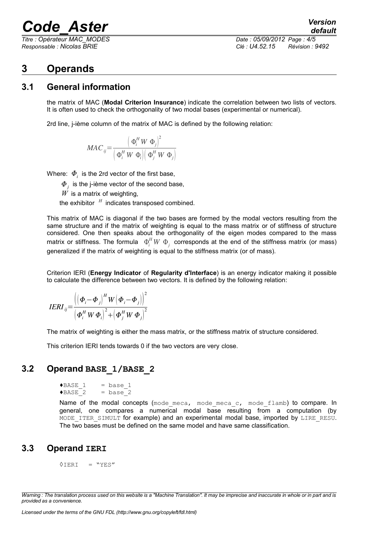## *Code\_Aster Version*

*Titre : Opérateur MAC\_MODES Date : 05/09/2012 Page : 4/5 Responsable : Nicolas BRIE Clé : U4.52.15 Révision : 9492*

*default*

#### **3 Operands**

#### **3.1 General information**

the matrix of MAC (**Modal Criterion Insurance**) indicate the correlation between two lists of vectors. It is often used to check the orthogonality of two modal bases (experimental or numerical).

2rd line, j-ième column of the matrix of MAC is defined by the following relation:

$$
MAC_{ij} = \frac{\left(\Phi_i^H W \ \Phi_j\right)^2}{\left(\Phi_i^H W \ \Phi_i\right)\left(\Phi_j^H W \ \Phi_j\right)}
$$

Where:  $\boldsymbol{\varPhi}_{i}^{\top}$  is the 2rd vector of the first base,

 $\boldsymbol{\varPhi}_j^{\phantom{\dag}}$  is the j-ième vector of the second base,

 $\overline{W}$  is a matrix of weighting,

the exhibitor *<sup>H</sup>* indicates transposed combined.

This matrix of MAC is diagonal if the two bases are formed by the modal vectors resulting from the same structure and if the matrix of weighting is equal to the mass matrix or of stiffness of structure considered. One then speaks about the orthogonality of the eigen modes compared to the mass matrix or stiffness. The formula  $\Phi_i^H W \; \Phi_j^{\phantom{H}}$  corresponds at the end of the stiffness matrix (or mass) generalized if the matrix of weighting is equal to the stiffness matrix (or of mass).

Criterion IERI (**Energy Indicator** of **Regularity d'Interface**) is an energy indicator making it possible to calculate the difference between two vectors. It is defined by the following relation:

$$
IERI_{ij} = \frac{\left( \left( \boldsymbol{\Phi}_{i} - \boldsymbol{\Phi}_{j} \right)^{H} W \left( \boldsymbol{\Phi}_{i} - \boldsymbol{\Phi}_{j} \right) \right)^{2}}{\left( \boldsymbol{\Phi}_{i}^{H} W \boldsymbol{\Phi}_{i} \right)^{2} + \left( \boldsymbol{\Phi}_{j}^{H} W \boldsymbol{\Phi}_{j} \right)^{2}}
$$

The matrix of weighting is either the mass matrix, or the stiffness matrix of structure considered.

This criterion IERI tends towards 0 if the two vectors are very close.

#### **3.2 Operand BASE\_1/BASE\_2**

$$
\begin{array}{ll}\n\text{PBASE}_1 & = \text{base}_1 \\
\text{PBASE}_2 & = \text{base}_2\n\end{array}
$$

Name of the modal concepts (mode meca, mode meca c, mode flamb) to compare. In general, one compares a numerical modal base resulting from a computation (by MODE ITER SIMULT for example) and an experimental modal base, imported by LIRE RESU. The two bases must be defined on the same model and have same classification.

#### **3.3 Operand IERI**

 $\land$ TERI = "YES"

*Warning : The translation process used on this website is a "Machine Translation". It may be imprecise and inaccurate in whole or in part and is provided as a convenience.*